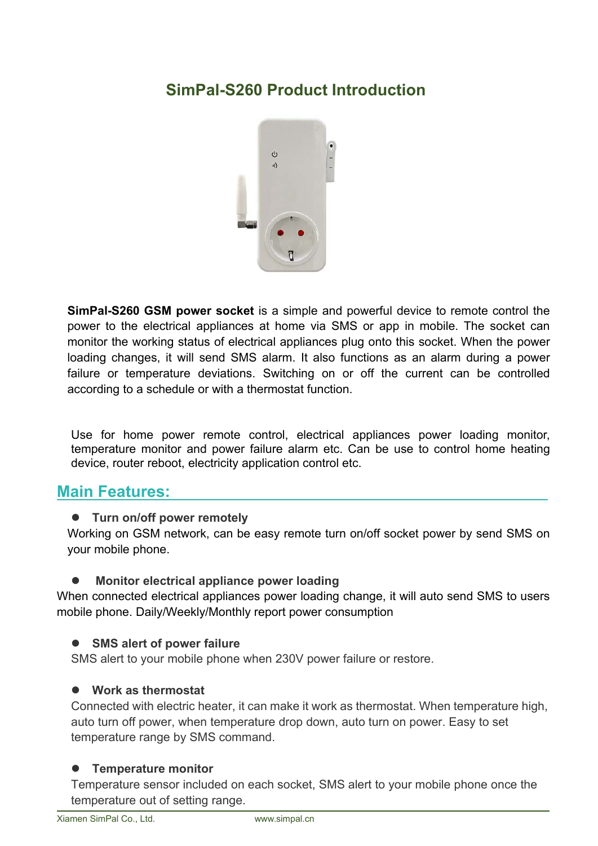## **SimPal-S260 Product Introduction**



**SimPal-S260 GSM power socket** is a simple and powerful device to remote control the power to the electrical appliances at home via SMS or app in mobile. The socket can monitor the working status of electrical appliances plug onto this socket. When the power loading changes, it will send SMS alarm. It also functions as an alarm during a power failure or temperature deviations. Switching on or off the current can be controlled according to a schedule or with a thermostat function.

Use for home power remote control, electrical appliances power loading monitor, temperature monitor and power failure alarm etc. Can be use to control home heating device, router reboot, electricity application control etc.

### **Main Features:**

### **Turn on/off power remotely**

Working on GSM network, can be easy remote turn on/off socket power by send SMS on your mobile phone.

### **Monitor electrical appliance power loading**

When connected electrical appliances power loading change, it will auto send SMS to users mobile phone. Daily/Weekly/Monthly report power consumption

### **SMS alert of power failure**

SMS alert to your mobile phone when 230V power failure or restore.

### **Work as thermostat**

Connected with electric heater, it can make it work as thermostat. When temperature high, auto turn off power, when temperature drop down, auto turn on power. Easy to set temperature range by SMS command.

### **Temperature monitor**

Temperature sensor included on each socket, SMS alert to your mobile phone once the temperature out of setting range.